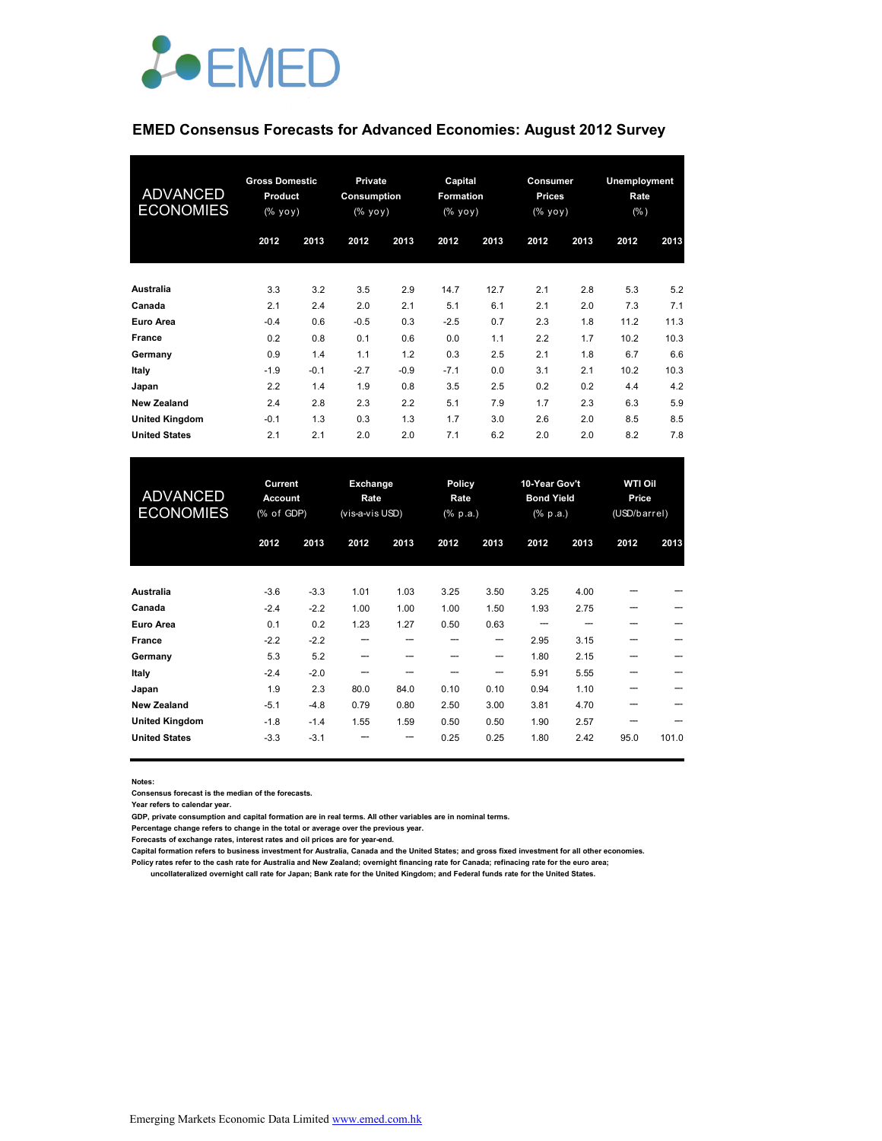

#### **EMED Consensus Forecasts for Advanced Economies: August 2012 Survey**

| <b>ADVANCED</b><br><b>ECONOMIES</b> | <b>Gross Domestic</b><br><b>Product</b><br>(% yoy) |        |        |        | <b>Private</b><br>Consumption<br>$(% \mathbf{y}\right)$ (% $\mathbf{y}\circ\mathbf{y}$ ) |      | Capital<br><b>Formation</b><br>(% yoy) |      | Consumer<br><b>Prices</b><br>(% yoy) |      | Unemployment<br>Rate<br>(% ) |  |
|-------------------------------------|----------------------------------------------------|--------|--------|--------|------------------------------------------------------------------------------------------|------|----------------------------------------|------|--------------------------------------|------|------------------------------|--|
|                                     | 2012                                               | 2013   | 2012   | 2013   | 2012                                                                                     | 2013 | 2012                                   | 2013 | 2012                                 | 2013 |                              |  |
| Australia                           | 3.3                                                | 3.2    | 3.5    | 2.9    | 14.7                                                                                     | 12.7 | 2.1                                    | 2.8  | 5.3                                  | 5.2  |                              |  |
| Canada                              | 2.1                                                | 2.4    | 2.0    | 2.1    | 5.1                                                                                      | 6.1  | 2.1                                    | 2.0  | 7.3                                  | 7.1  |                              |  |
| Euro Area                           | $-0.4$                                             | 0.6    | $-0.5$ | 0.3    | $-2.5$                                                                                   | 0.7  | 2.3                                    | 1.8  | 11.2                                 | 11.3 |                              |  |
| France                              | 0.2                                                | 0.8    | 0.1    | 0.6    | 0.0                                                                                      | 1.1  | 2.2                                    | 1.7  | 10.2                                 | 10.3 |                              |  |
| Germany                             | 0.9                                                | 1.4    | 1.1    | 1.2    | 0.3                                                                                      | 2.5  | 2.1                                    | 1.8  | 6.7                                  | 6.6  |                              |  |
| Italy                               | $-1.9$                                             | $-0.1$ | $-2.7$ | $-0.9$ | $-7.1$                                                                                   | 0.0  | 3.1                                    | 2.1  | 10.2                                 | 10.3 |                              |  |
| Japan                               | 2.2                                                | 1.4    | 1.9    | 0.8    | 3.5                                                                                      | 2.5  | 0.2                                    | 0.2  | 4.4                                  | 4.2  |                              |  |
| <b>New Zealand</b>                  | 2.4                                                | 2.8    | 2.3    | 2.2    | 5.1                                                                                      | 7.9  | 1.7                                    | 2.3  | 6.3                                  | 5.9  |                              |  |
| <b>United Kingdom</b>               | $-0.1$                                             | 1.3    | 0.3    | 1.3    | 1.7                                                                                      | 3.0  | 2.6                                    | 2.0  | 8.5                                  | 8.5  |                              |  |
| <b>United States</b>                | 2.1                                                | 2.1    | 2.0    | 2.0    | 7.1                                                                                      | 6.2  | 2.0                                    | 2.0  | 8.2                                  | 7.8  |                              |  |

| <b>ADVANCED</b><br><b>ECONOMIES</b> | Current<br><b>Account</b><br>(% of GDP) |        | Exchange<br>Rate<br>(vis-a-vis USD) |      | Policy<br>Rate<br>$(% \mathbf{a})$ (% p.a.) |      | 10-Year Gov't<br><b>Bond Yield</b><br>$(% \mathbb{R}^2)$ (% p.a.) |      | <b>WTI Oil</b><br>Price<br>(USD/barrel) |       |
|-------------------------------------|-----------------------------------------|--------|-------------------------------------|------|---------------------------------------------|------|-------------------------------------------------------------------|------|-----------------------------------------|-------|
|                                     | 2012                                    | 2013   | 2012                                | 2013 | 2012                                        | 2013 | 2012                                                              | 2013 | 2012                                    | 2013  |
| Australia                           | $-3.6$                                  | $-3.3$ | 1.01                                | 1.03 | 3.25                                        | 3.50 | 3.25                                                              | 4.00 |                                         |       |
| Canada                              | $-2.4$                                  | $-2.2$ | 1.00                                | 1.00 | 1.00                                        | 1.50 | 1.93                                                              | 2.75 | ---                                     |       |
| <b>Euro Area</b>                    | 0.1                                     | 0.2    | 1.23                                | 1.27 | 0.50                                        | 0.63 | ---                                                               |      |                                         |       |
| France                              | $-2.2$                                  | $-2.2$ | ---                                 | ---  | ---                                         | --   | 2.95                                                              | 3.15 |                                         |       |
| Germany                             | 5.3                                     | 5.2    |                                     |      |                                             | ---  | 1.80                                                              | 2.15 |                                         |       |
| Italy                               | $-2.4$                                  | $-2.0$ |                                     |      |                                             | ---  | 5.91                                                              | 5.55 |                                         |       |
| Japan                               | 1.9                                     | 2.3    | 80.0                                | 84.0 | 0.10                                        | 0.10 | 0.94                                                              | 1.10 |                                         |       |
| <b>New Zealand</b>                  | $-5.1$                                  | $-4.8$ | 0.79                                | 0.80 | 2.50                                        | 3.00 | 3.81                                                              | 4.70 |                                         |       |
| <b>United Kingdom</b>               | $-1.8$                                  | $-1.4$ | 1.55                                | 1.59 | 0.50                                        | 0.50 | 1.90                                                              | 2.57 |                                         |       |
| <b>United States</b>                | $-3.3$                                  | $-3.1$ |                                     | ---  | 0.25                                        | 0.25 | 1.80                                                              | 2.42 | 95.0                                    | 101.0 |

**Notes:** 

**Consensus forecast is the median of the forecasts.**

**Year refers to calendar year.**

**GDP, private consumption and capital formation are in real terms. All other variables are in nominal terms.**

**Percentage change refers to change in the total or average over the previous year.**

**Forecasts of exchange rates, interest rates and oil prices are for year-end.**

**Capital formation refers to business investment for Australia, Canada and the United States; and gross fixed investment for all other economies.**

**Policy rates refer to the cash rate for Australia and New Zealand; overnight financing rate for Canada; refinacing rate for the euro area;** 

 **uncollateralized overnight call rate for Japan; Bank rate for the United Kingdom; and Federal funds rate for the United States.**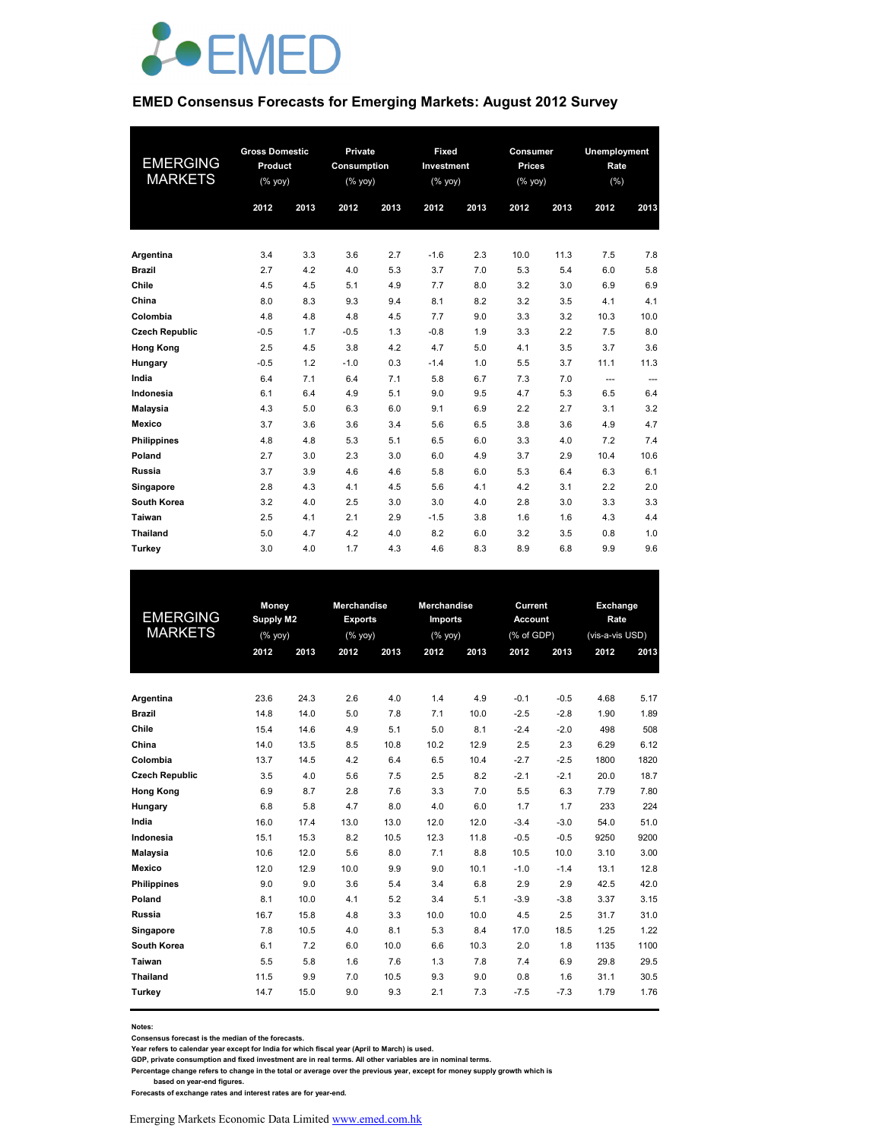

#### **EMED Consensus Forecasts for Emerging Markets: August 2012 Survey**

| <b>EMERGING</b><br><b>MARKETS</b> | <b>Gross Domestic</b><br>Product<br>$(%$ yoy)<br>2012<br>2013 |     | Private<br>Consumption<br>$(%$ yoy)<br>2012 | 2013 | Fixed<br>Investment<br>$(\%$ yoy)<br>2012 | 2013 | Consumer<br><b>Prices</b><br>$(%$ yoy)<br>2012 | 2013 | 2012     | <b>Unemployment</b><br>Rate<br>(%)<br>2013 |  |
|-----------------------------------|---------------------------------------------------------------|-----|---------------------------------------------|------|-------------------------------------------|------|------------------------------------------------|------|----------|--------------------------------------------|--|
|                                   |                                                               |     |                                             |      |                                           |      |                                                |      |          |                                            |  |
| Argentina                         | 3.4                                                           | 3.3 | 3.6                                         | 2.7  | $-1.6$                                    | 2.3  | 10.0                                           | 11.3 | 7.5      | 7.8                                        |  |
| <b>Brazil</b>                     | 2.7                                                           | 4.2 | 4.0                                         | 5.3  | 3.7                                       | 7.0  | 5.3                                            | 5.4  | 6.0      | 5.8                                        |  |
| Chile                             | 4.5                                                           | 4.5 | 5.1                                         | 4.9  | 7.7                                       | 8.0  | 3.2                                            | 3.0  | 6.9      | 6.9                                        |  |
| China                             | 8.0                                                           | 8.3 | 9.3                                         | 9.4  | 8.1                                       | 8.2  | 3.2                                            | 3.5  | 4.1      | 4.1                                        |  |
| Colombia                          | 4.8                                                           | 4.8 | 4.8                                         | 4.5  | 7.7                                       | 9.0  | 3.3                                            | 3.2  | 10.3     | 10.0                                       |  |
| <b>Czech Republic</b>             | $-0.5$                                                        | 1.7 | $-0.5$                                      | 1.3  | $-0.8$                                    | 1.9  | 3.3                                            | 2.2  | 7.5      | 8.0                                        |  |
| <b>Hong Kong</b>                  | 2.5                                                           | 4.5 | 3.8                                         | 4.2  | 4.7                                       | 5.0  | 4.1                                            | 3.5  | 3.7      | 3.6                                        |  |
| Hungary                           | $-0.5$                                                        | 1.2 | $-1.0$                                      | 0.3  | $-1.4$                                    | 1.0  | 5.5                                            | 3.7  | 11.1     | 11.3                                       |  |
| India                             | 6.4                                                           | 7.1 | 6.4                                         | 7.1  | 5.8                                       | 6.7  | 7.3                                            | 7.0  | $\cdots$ | ---                                        |  |
| Indonesia                         | 6.1                                                           | 6.4 | 4.9                                         | 5.1  | 9.0                                       | 9.5  | 4.7                                            | 5.3  | 6.5      | 6.4                                        |  |
| <b>Malaysia</b>                   | 4.3                                                           | 5.0 | 6.3                                         | 6.0  | 9.1                                       | 6.9  | 2.2                                            | 2.7  | 3.1      | 3.2                                        |  |
| Mexico                            | 3.7                                                           | 3.6 | 3.6                                         | 3.4  | 5.6                                       | 6.5  | 3.8                                            | 3.6  | 4.9      | 4.7                                        |  |
| <b>Philippines</b>                | 4.8                                                           | 4.8 | 5.3                                         | 5.1  | 6.5                                       | 6.0  | 3.3                                            | 4.0  | 7.2      | 7.4                                        |  |
| Poland                            | 2.7                                                           | 3.0 | 2.3                                         | 3.0  | 6.0                                       | 4.9  | 3.7                                            | 2.9  | 10.4     | 10.6                                       |  |
| Russia                            | 3.7                                                           | 3.9 | 4.6                                         | 4.6  | 5.8                                       | 6.0  | 5.3                                            | 6.4  | 6.3      | 6.1                                        |  |
| Singapore                         | 2.8                                                           | 4.3 | 4.1                                         | 4.5  | 5.6                                       | 4.1  | 4.2                                            | 3.1  | 2.2      | 2.0                                        |  |
| South Korea                       | 3.2                                                           | 4.0 | 2.5                                         | 3.0  | 3.0                                       | 4.0  | 2.8                                            | 3.0  | 3.3      | 3.3                                        |  |
| Taiwan                            | 2.5                                                           | 4.1 | 2.1                                         | 2.9  | $-1.5$                                    | 3.8  | 1.6                                            | 1.6  | 4.3      | 4.4                                        |  |
| Thailand                          | 5.0                                                           | 4.7 | 4.2                                         | 4.0  | 8.2                                       | 6.0  | 3.2                                            | 3.5  | 0.8      | 1.0                                        |  |
| Turkey                            | 3.0                                                           | 4.0 | 1.7                                         | 4.3  | 4.6                                       | 8.3  | 8.9                                            | 6.8  | 9.9      | 9.6                                        |  |

|                       | <b>Money</b> |      | <b>Merchandise</b> |      | <b>Merchandise</b> |      | Current        |        | <b>Exchange</b> |      |
|-----------------------|--------------|------|--------------------|------|--------------------|------|----------------|--------|-----------------|------|
| <b>EMERGING</b>       | Supply M2    |      | <b>Exports</b>     |      | <b>Imports</b>     |      | <b>Account</b> |        | Rate            |      |
| <b>MARKETS</b>        | (% yoy)      |      | (% yoy)            |      | $(%$ yoy)          |      | (% of GDP)     |        | (vis-a-vis USD) |      |
|                       | 2012         | 2013 | 2012               | 2013 | 2012               | 2013 | 2012           | 2013   | 2012            | 2013 |
|                       |              |      |                    |      |                    |      |                |        |                 |      |
| Argentina             | 23.6         | 24.3 | 2.6                | 4.0  | 1.4                | 4.9  | $-0.1$         | $-0.5$ | 4.68            | 5.17 |
| <b>Brazil</b>         | 14.8         | 14.0 | 5.0                | 7.8  | 7.1                | 10.0 | $-2.5$         | $-2.8$ | 1.90            | 1.89 |
| Chile                 | 15.4         | 14.6 | 4.9                | 5.1  | 5.0                | 8.1  | $-2.4$         | $-2.0$ | 498             | 508  |
| China                 | 14.0         | 13.5 | 8.5                | 10.8 | 10.2               | 12.9 | 2.5            | 2.3    | 6.29            | 6.12 |
| Colombia              | 13.7         | 14.5 | 4.2                | 6.4  | 6.5                | 10.4 | $-2.7$         | $-2.5$ | 1800            | 1820 |
| <b>Czech Republic</b> | 3.5          | 4.0  | 5.6                | 7.5  | 2.5                | 8.2  | $-2.1$         | $-2.1$ | 20.0            | 18.7 |
| Hong Kong             | 6.9          | 8.7  | 2.8                | 7.6  | 3.3                | 7.0  | 5.5            | 6.3    | 7.79            | 7.80 |
| Hungary               | 6.8          | 5.8  | 4.7                | 8.0  | 4.0                | 6.0  | 1.7            | 1.7    | 233             | 224  |
| India                 | 16.0         | 17.4 | 13.0               | 13.0 | 12.0               | 12.0 | $-3.4$         | $-3.0$ | 54.0            | 51.0 |
| Indonesia             | 15.1         | 15.3 | 8.2                | 10.5 | 12.3               | 11.8 | $-0.5$         | $-0.5$ | 9250            | 9200 |
| Malaysia              | 10.6         | 12.0 | 5.6                | 8.0  | 7.1                | 8.8  | 10.5           | 10.0   | 3.10            | 3.00 |
| Mexico                | 12.0         | 12.9 | 10.0               | 9.9  | 9.0                | 10.1 | $-1.0$         | $-1.4$ | 13.1            | 12.8 |
| Philippines           | 9.0          | 9.0  | 3.6                | 5.4  | 3.4                | 6.8  | 2.9            | 2.9    | 42.5            | 42.0 |
| Poland                | 8.1          | 10.0 | 4.1                | 5.2  | 3.4                | 5.1  | $-3.9$         | $-3.8$ | 3.37            | 3.15 |
| Russia                | 16.7         | 15.8 | 4.8                | 3.3  | 10.0               | 10.0 | 4.5            | 2.5    | 31.7            | 31.0 |
| Singapore             | 7.8          | 10.5 | 4.0                | 8.1  | 5.3                | 8.4  | 17.0           | 18.5   | 1.25            | 1.22 |
| South Korea           | 6.1          | 7.2  | 6.0                | 10.0 | 6.6                | 10.3 | 2.0            | 1.8    | 1135            | 1100 |
| Taiwan                | 5.5          | 5.8  | 1.6                | 7.6  | 1.3                | 7.8  | 7.4            | 6.9    | 29.8            | 29.5 |
| Thailand              | 11.5         | 9.9  | 7.0                | 10.5 | 9.3                | 9.0  | 0.8            | 1.6    | 31.1            | 30.5 |
| Turkey                | 14.7         | 15.0 | 9.0                | 9.3  | 2.1                | 7.3  | $-7.5$         | $-7.3$ | 1.79            | 1.76 |
|                       |              |      |                    |      |                    |      |                |        |                 |      |

**Notes:** 

**Consensus forecast is the median of the forecasts.**

**Year refers to calendar year except for India for which fiscal year (April to March) is used.**

**GDP, private consumption and fixed investment are in real terms. All other variables are in nominal terms.**

**Percentage change refers to change in the total or average over the previous year, except for money supply growth which is** 

 **based on year-end figures. Forecasts of exchange rates and interest rates are for year-end.**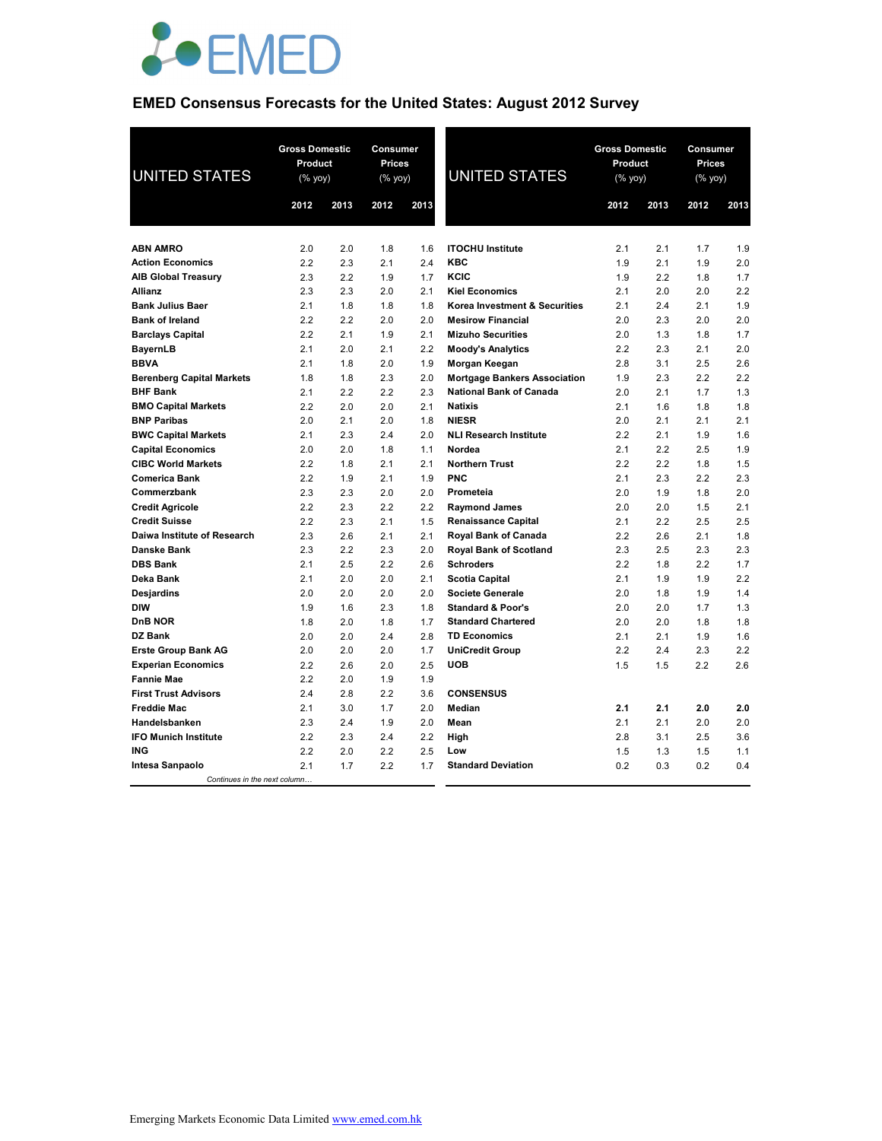

# **EMED Consensus Forecasts for the United States: August 2012 Survey**

| <b>UNITED STATES</b>             | <b>Gross Domestic</b><br>Product<br>(% yoy) |      | Consumer<br><b>Prices</b><br>$(\%$ yoy) |      | <b>UNITED STATES</b>                | <b>Gross Domestic</b><br>Product<br>(% yoy) |      | Consumer<br><b>Prices</b><br>(% yoy) |      |
|----------------------------------|---------------------------------------------|------|-----------------------------------------|------|-------------------------------------|---------------------------------------------|------|--------------------------------------|------|
|                                  | 2012                                        | 2013 | 2012                                    | 2013 |                                     | 2012                                        | 2013 | 2012                                 | 2013 |
|                                  |                                             |      |                                         |      |                                     |                                             |      |                                      |      |
| <b>ABN AMRO</b>                  | 2.0                                         | 2.0  | 1.8                                     | 1.6  | <b>ITOCHU Institute</b>             | 2.1                                         | 2.1  | 1.7                                  | 1.9  |
| <b>Action Economics</b>          | 2.2                                         | 2.3  | 2.1                                     | 2.4  | <b>KBC</b>                          | 1.9                                         | 2.1  | 1.9                                  | 2.0  |
| <b>AIB Global Treasury</b>       | 2.3                                         | 2.2  | 1.9                                     | 1.7  | KCIC                                | 1.9                                         | 2.2  | 1.8                                  | 1.7  |
| <b>Allianz</b>                   | 2.3                                         | 2.3  | 2.0                                     | 2.1  | <b>Kiel Economics</b>               | 2.1                                         | 2.0  | 2.0                                  | 2.2  |
| <b>Bank Julius Baer</b>          | 2.1                                         | 1.8  | 1.8                                     | 1.8  | Korea Investment & Securities       | 2.1                                         | 2.4  | 2.1                                  | 1.9  |
| <b>Bank of Ireland</b>           | 2.2                                         | 2.2  | 2.0                                     | 2.0  | <b>Mesirow Financial</b>            | 2.0                                         | 2.3  | 2.0                                  | 2.0  |
| <b>Barclays Capital</b>          | 2.2                                         | 2.1  | 1.9                                     | 2.1  | <b>Mizuho Securities</b>            | 2.0                                         | 1.3  | 1.8                                  | 1.7  |
| <b>BayernLB</b>                  | 2.1                                         | 2.0  | 2.1                                     | 2.2  | <b>Moody's Analytics</b>            | 2.2                                         | 2.3  | 2.1                                  | 2.0  |
| <b>BBVA</b>                      | 2.1                                         | 1.8  | 2.0                                     | 1.9  | Morgan Keegan                       | 2.8                                         | 3.1  | 2.5                                  | 2.6  |
| <b>Berenberg Capital Markets</b> | 1.8                                         | 1.8  | 2.3                                     | 2.0  | <b>Mortgage Bankers Association</b> | 1.9                                         | 2.3  | 2.2                                  | 2.2  |
| <b>BHF Bank</b>                  | 2.1                                         | 2.2  | 2.2                                     | 2.3  | <b>National Bank of Canada</b>      | 2.0                                         | 2.1  | 1.7                                  | 1.3  |
| <b>BMO Capital Markets</b>       | 2.2                                         | 2.0  | 2.0                                     | 2.1  | <b>Natixis</b>                      | 2.1                                         | 1.6  | 1.8                                  | 1.8  |
| <b>BNP Paribas</b>               | 2.0                                         | 2.1  | 2.0                                     | 1.8  | <b>NIESR</b>                        | 2.0                                         | 2.1  | 2.1                                  | 2.1  |
| <b>BWC Capital Markets</b>       | 2.1                                         | 2.3  | 2.4                                     | 2.0  | <b>NLI Research Institute</b>       | 2.2                                         | 2.1  | 1.9                                  | 1.6  |
| <b>Capital Economics</b>         | 2.0                                         | 2.0  | 1.8                                     | 1.1  | Nordea                              | 2.1                                         | 2.2  | 2.5                                  | 1.9  |
| <b>CIBC World Markets</b>        | 2.2                                         | 1.8  | 2.1                                     | 2.1  | <b>Northern Trust</b>               | 2.2                                         | 2.2  | 1.8                                  | 1.5  |
| <b>Comerica Bank</b>             | 2.2                                         | 1.9  | 2.1                                     | 1.9  | <b>PNC</b>                          | 2.1                                         | 2.3  | 2.2                                  | 2.3  |
| Commerzbank                      | 2.3                                         | 2.3  | 2.0                                     | 2.0  | Prometeia                           | 2.0                                         | 1.9  | 1.8                                  | 2.0  |
| <b>Credit Agricole</b>           | 2.2                                         | 2.3  | 2.2                                     | 2.2  | <b>Raymond James</b>                | 2.0                                         | 2.0  | 1.5                                  | 2.1  |
| <b>Credit Suisse</b>             | 2.2                                         | 2.3  | 2.1                                     | 1.5  | <b>Renaissance Capital</b>          | 2.1                                         | 2.2  | 2.5                                  | 2.5  |
| Daiwa Institute of Research      | 2.3                                         | 2.6  | 2.1                                     | 2.1  | Royal Bank of Canada                | 2.2                                         | 2.6  | 2.1                                  | 1.8  |
| <b>Danske Bank</b>               | 2.3                                         | 2.2  | 2.3                                     | 2.0  | <b>Royal Bank of Scotland</b>       | 2.3                                         | 2.5  | 2.3                                  | 2.3  |
| <b>DBS Bank</b>                  | 2.1                                         | 2.5  | 2.2                                     | 2.6  | <b>Schroders</b>                    | 2.2                                         | 1.8  | 2.2                                  | 1.7  |
| Deka Bank                        | 2.1                                         | 2.0  | 2.0                                     | 2.1  | <b>Scotia Capital</b>               | 2.1                                         | 1.9  | 1.9                                  | 2.2  |
| Desjardins                       | 2.0                                         | 2.0  | 2.0                                     | 2.0  | <b>Societe Generale</b>             | 2.0                                         | 1.8  | 1.9                                  | 1.4  |
| <b>DIW</b>                       | 1.9                                         | 1.6  | 2.3                                     | 1.8  | <b>Standard &amp; Poor's</b>        | 2.0                                         | 2.0  | 1.7                                  | 1.3  |
| <b>DnB NOR</b>                   | 1.8                                         | 2.0  | 1.8                                     | 1.7  | <b>Standard Chartered</b>           | 2.0                                         | 2.0  | 1.8                                  | 1.8  |
| <b>DZ Bank</b>                   | 2.0                                         | 2.0  | 2.4                                     | 2.8  | <b>TD Economics</b>                 | 2.1                                         | 2.1  | 1.9                                  | 1.6  |
| <b>Erste Group Bank AG</b>       | 2.0                                         | 2.0  | 2.0                                     | 1.7  | <b>UniCredit Group</b>              | 2.2                                         | 2.4  | 2.3                                  | 2.2  |
| <b>Experian Economics</b>        | 2.2                                         | 2.6  | 2.0                                     | 2.5  | <b>UOB</b>                          | 1.5                                         | 1.5  | 2.2                                  | 2.6  |
| <b>Fannie Mae</b>                | 2.2                                         | 2.0  | 1.9                                     | 1.9  |                                     |                                             |      |                                      |      |
| <b>First Trust Advisors</b>      | 2.4                                         | 2.8  | 2.2                                     | 3.6  | <b>CONSENSUS</b>                    |                                             |      |                                      |      |
| <b>Freddie Mac</b>               | 2.1                                         | 3.0  | 1.7                                     | 2.0  | Median                              | 2.1                                         | 2.1  | 2.0                                  | 2.0  |
| Handelsbanken                    | 2.3                                         | 2.4  | 1.9                                     | 2.0  | Mean                                | 2.1                                         | 2.1  | 2.0                                  | 2.0  |
| <b>IFO Munich Institute</b>      | 2.2                                         | 2.3  | 2.4                                     | 2.2  | High                                | 2.8                                         | 3.1  | 2.5                                  | 3.6  |
| <b>ING</b>                       | 2.2                                         | 2.0  | 2.2                                     | 2.5  | Low                                 | 1.5                                         | 1.3  | 1.5                                  | 1.1  |
| Intesa Sanpaolo                  | 2.1                                         | 1.7  | 2.2                                     | 1.7  | <b>Standard Deviation</b>           | 0.2                                         | 0.3  | 0.2                                  | 0.4  |
| Continues in the next column     |                                             |      |                                         |      |                                     |                                             |      |                                      |      |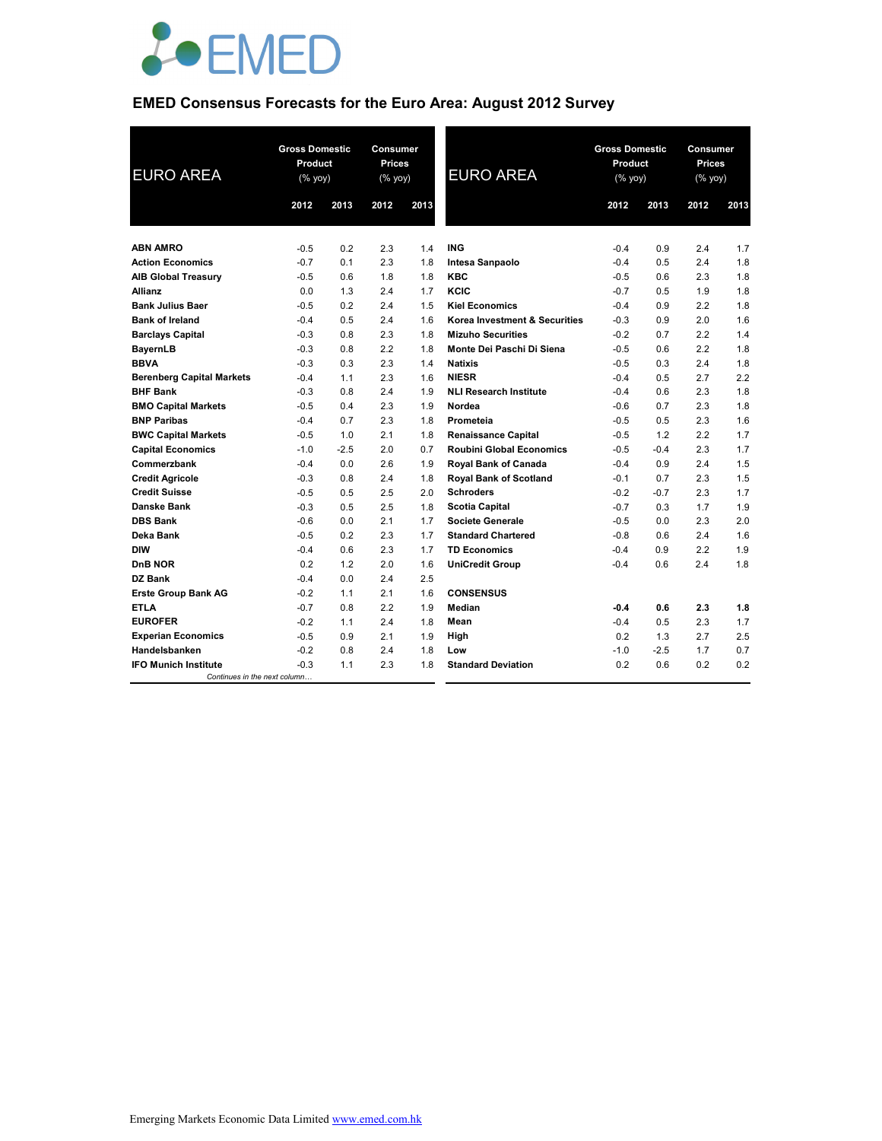

# **EMED Consensus Forecasts for the Euro Area: August 2012 Survey**

| <b>EURO AREA</b>                 |        | <b>Gross Domestic</b><br><b>Consumer</b><br>Product<br><b>Prices</b><br>(% yoy)<br>(% yoy) |      |      | <b>EURO AREA</b>                | <b>Gross Domestic</b><br>Product<br>(% yoy) |        | Consumer<br><b>Prices</b><br>$(% \mathsf{Y}^{\prime }\cap \mathsf{Y}^{\prime })$ (% $\mathsf{Y}^{\prime }\cap \mathsf{Y}^{\prime }$ |      |
|----------------------------------|--------|--------------------------------------------------------------------------------------------|------|------|---------------------------------|---------------------------------------------|--------|-------------------------------------------------------------------------------------------------------------------------------------|------|
|                                  | 2012   | 2013                                                                                       | 2012 | 2013 |                                 | 2012                                        | 2013   | 2012                                                                                                                                | 2013 |
|                                  |        |                                                                                            |      |      |                                 |                                             |        |                                                                                                                                     |      |
| <b>ABN AMRO</b>                  | $-0.5$ | 0.2                                                                                        | 2.3  | 1.4  | <b>ING</b>                      | $-0.4$                                      | 0.9    | 2.4                                                                                                                                 | 1.7  |
| <b>Action Economics</b>          | $-0.7$ | 0.1                                                                                        | 2.3  | 1.8  | Intesa Sanpaolo                 | $-0.4$                                      | 0.5    | 2.4                                                                                                                                 | 1.8  |
| <b>AIB Global Treasury</b>       | $-0.5$ | 0.6                                                                                        | 1.8  | 1.8  | <b>KBC</b>                      | $-0.5$                                      | 0.6    | 2.3                                                                                                                                 | 1.8  |
| <b>Allianz</b>                   | 0.0    | 1.3                                                                                        | 2.4  | 1.7  | KCIC                            | $-0.7$                                      | 0.5    | 1.9                                                                                                                                 | 1.8  |
| <b>Bank Julius Baer</b>          | $-0.5$ | 0.2                                                                                        | 2.4  | 1.5  | <b>Kiel Economics</b>           | $-0.4$                                      | 0.9    | 2.2                                                                                                                                 | 1.8  |
| <b>Bank of Ireland</b>           | $-0.4$ | 0.5                                                                                        | 2.4  | 1.6  | Korea Investment & Securities   | $-0.3$                                      | 0.9    | 2.0                                                                                                                                 | 1.6  |
| <b>Barclays Capital</b>          | $-0.3$ | 0.8                                                                                        | 2.3  | 1.8  | <b>Mizuho Securities</b>        | $-0.2$                                      | 0.7    | 2.2                                                                                                                                 | 1.4  |
| <b>BayernLB</b>                  | $-0.3$ | 0.8                                                                                        | 2.2  | 1.8  | Monte Dei Paschi Di Siena       | $-0.5$                                      | 0.6    | 2.2                                                                                                                                 | 1.8  |
| <b>BBVA</b>                      | $-0.3$ | 0.3                                                                                        | 2.3  | 1.4  | <b>Natixis</b>                  | $-0.5$                                      | 0.3    | 2.4                                                                                                                                 | 1.8  |
| <b>Berenberg Capital Markets</b> | $-0.4$ | 1.1                                                                                        | 2.3  | 1.6  | <b>NIESR</b>                    | $-0.4$                                      | 0.5    | 2.7                                                                                                                                 | 2.2  |
| <b>BHF Bank</b>                  | $-0.3$ | 0.8                                                                                        | 2.4  | 1.9  | <b>NLI Research Institute</b>   | $-0.4$                                      | 0.6    | 2.3                                                                                                                                 | 1.8  |
| <b>BMO Capital Markets</b>       | $-0.5$ | 0.4                                                                                        | 2.3  | 1.9  | Nordea                          | $-0.6$                                      | 0.7    | 2.3                                                                                                                                 | 1.8  |
| <b>BNP Paribas</b>               | $-0.4$ | 0.7                                                                                        | 2.3  | 1.8  | Prometeia                       | $-0.5$                                      | 0.5    | 2.3                                                                                                                                 | 1.6  |
| <b>BWC Capital Markets</b>       | $-0.5$ | 1.0                                                                                        | 2.1  | 1.8  | <b>Renaissance Capital</b>      | $-0.5$                                      | 1.2    | 2.2                                                                                                                                 | 1.7  |
| <b>Capital Economics</b>         | $-1.0$ | $-2.5$                                                                                     | 2.0  | 0.7  | <b>Roubini Global Economics</b> | $-0.5$                                      | $-0.4$ | 2.3                                                                                                                                 | 1.7  |
| Commerzbank                      | $-0.4$ | 0.0                                                                                        | 2.6  | 1.9  | <b>Royal Bank of Canada</b>     | $-0.4$                                      | 0.9    | 2.4                                                                                                                                 | 1.5  |
| <b>Credit Agricole</b>           | $-0.3$ | 0.8                                                                                        | 2.4  | 1.8  | <b>Royal Bank of Scotland</b>   | $-0.1$                                      | 0.7    | 2.3                                                                                                                                 | 1.5  |
| <b>Credit Suisse</b>             | $-0.5$ | 0.5                                                                                        | 2.5  | 2.0  | <b>Schroders</b>                | $-0.2$                                      | $-0.7$ | 2.3                                                                                                                                 | 1.7  |
| <b>Danske Bank</b>               | $-0.3$ | 0.5                                                                                        | 2.5  | 1.8  | <b>Scotia Capital</b>           | $-0.7$                                      | 0.3    | 1.7                                                                                                                                 | 1.9  |
| <b>DBS Bank</b>                  | $-0.6$ | 0.0                                                                                        | 2.1  | 1.7  | <b>Societe Generale</b>         | $-0.5$                                      | 0.0    | 2.3                                                                                                                                 | 2.0  |
| Deka Bank                        | $-0.5$ | 0.2                                                                                        | 2.3  | 1.7  | <b>Standard Chartered</b>       | $-0.8$                                      | 0.6    | 2.4                                                                                                                                 | 1.6  |
| <b>DIW</b>                       | $-0.4$ | 0.6                                                                                        | 2.3  | 1.7  | <b>TD Economics</b>             | $-0.4$                                      | 0.9    | 2.2                                                                                                                                 | 1.9  |
| <b>DnB NOR</b>                   | 0.2    | 1.2                                                                                        | 2.0  | 1.6  | <b>UniCredit Group</b>          | $-0.4$                                      | 0.6    | 2.4                                                                                                                                 | 1.8  |
| <b>DZ Bank</b>                   | $-0.4$ | 0.0                                                                                        | 2.4  | 2.5  |                                 |                                             |        |                                                                                                                                     |      |
| <b>Erste Group Bank AG</b>       | $-0.2$ | 1.1                                                                                        | 2.1  | 1.6  | <b>CONSENSUS</b>                |                                             |        |                                                                                                                                     |      |
| <b>ETLA</b>                      | $-0.7$ | 0.8                                                                                        | 2.2  | 1.9  | Median                          | $-0.4$                                      | 0.6    | 2.3                                                                                                                                 | 1.8  |
| <b>EUROFER</b>                   | $-0.2$ | 1.1                                                                                        | 2.4  | 1.8  | Mean                            | $-0.4$                                      | 0.5    | 2.3                                                                                                                                 | 1.7  |
| <b>Experian Economics</b>        | $-0.5$ | 0.9                                                                                        | 2.1  | 1.9  | High                            | 0.2                                         | 1.3    | 2.7                                                                                                                                 | 2.5  |
| Handelsbanken                    | $-0.2$ | 0.8                                                                                        | 2.4  | 1.8  | Low                             | $-1.0$                                      | $-2.5$ | 1.7                                                                                                                                 | 0.7  |
| <b>IFO Munich Institute</b>      | $-0.3$ | 1.1                                                                                        | 2.3  | 1.8  | <b>Standard Deviation</b>       | 0.2                                         | 0.6    | 0.2                                                                                                                                 | 0.2  |
| Continues in the next column     |        |                                                                                            |      |      |                                 |                                             |        |                                                                                                                                     |      |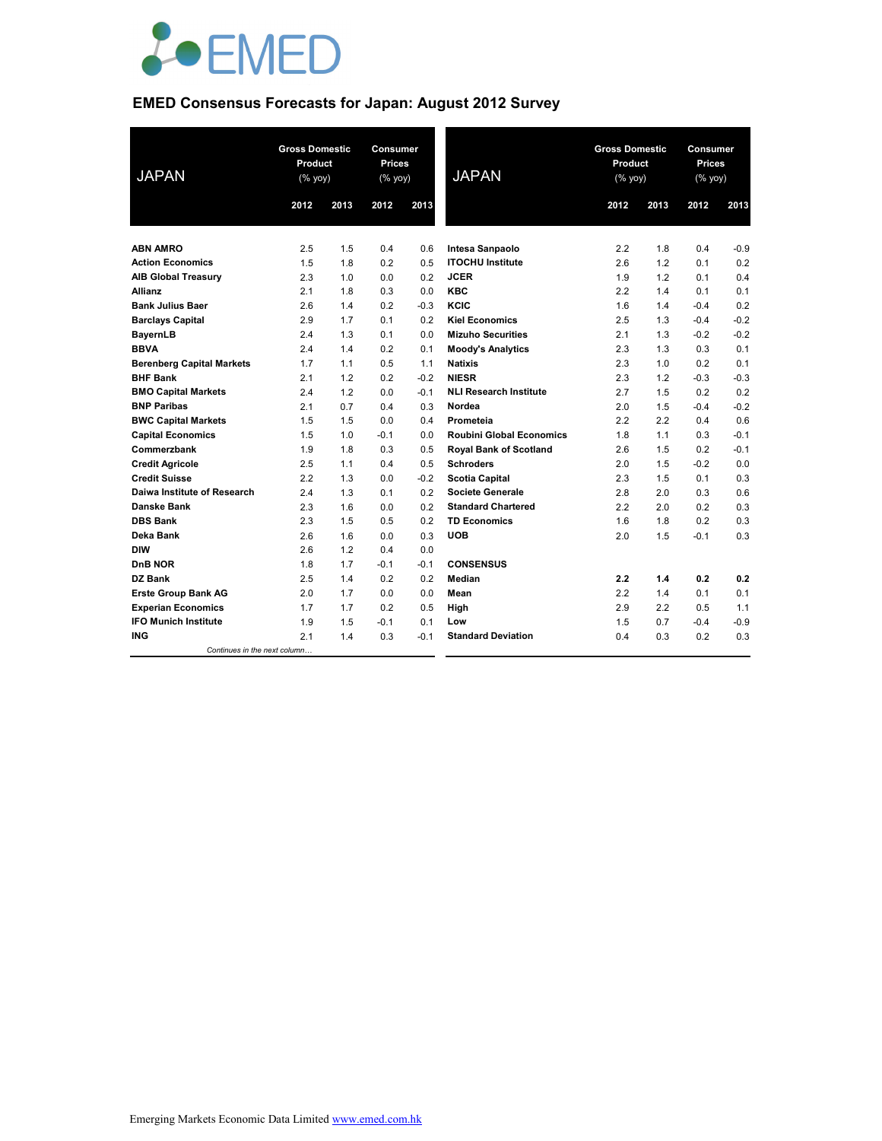

# **EMED Consensus Forecasts for Japan: August 2012 Survey**

| <b>JAPAN</b>                                        | <b>Gross Domestic</b><br>Product<br>(% yoy)<br>2013<br>2012 |            | Consumer<br>Prices<br>(% yoy)<br>2012<br>2013 |            | <b>JAPAN</b>                           | <b>Gross Domestic</b><br>Product<br>(% yoy)<br>2012<br>2013 |            | Consumer<br><b>Prices</b><br>(% yoy)<br>2012<br>2013 |               |
|-----------------------------------------------------|-------------------------------------------------------------|------------|-----------------------------------------------|------------|----------------------------------------|-------------------------------------------------------------|------------|------------------------------------------------------|---------------|
|                                                     |                                                             |            |                                               |            |                                        |                                                             |            |                                                      |               |
| <b>ABN AMRO</b>                                     |                                                             |            |                                               |            |                                        |                                                             |            |                                                      |               |
|                                                     | 2.5                                                         | 1.5        | 0.4                                           | 0.6        | Intesa Sanpaolo                        | 2.2                                                         | 1.8        | 0.4                                                  | $-0.9$<br>0.2 |
| <b>Action Economics</b>                             | 1.5                                                         | 1.8        | 0.2                                           | 0.5        | <b>ITOCHU Institute</b><br><b>JCER</b> | 2.6                                                         | 1.2        | 0.1                                                  |               |
| <b>AIB Global Treasury</b><br><b>Allianz</b>        | 2.3<br>2.1                                                  | 1.0<br>1.8 | 0.0<br>0.3                                    | 0.2<br>0.0 | <b>KBC</b>                             | 1.9<br>2.2                                                  | 1.2<br>1.4 | 0.1<br>0.1                                           | 0.4<br>0.1    |
| <b>Bank Julius Baer</b>                             | 2.6                                                         | 1.4        | 0.2                                           | $-0.3$     | KCIC                                   | 1.6                                                         |            | $-0.4$                                               | 0.2           |
|                                                     | 2.9                                                         | 1.7        | 0.1                                           | 0.2        | <b>Kiel Economics</b>                  | 2.5                                                         | 1.4<br>1.3 | $-0.4$                                               | $-0.2$        |
| <b>Barclays Capital</b>                             | 2.4                                                         | 1.3        | 0.1                                           | 0.0        | <b>Mizuho Securities</b>               | 2.1                                                         | 1.3        | $-0.2$                                               | $-0.2$        |
| <b>BayernLB</b><br><b>BBVA</b>                      | 2.4                                                         | 1.4        | 0.2                                           | 0.1        | <b>Moody's Analytics</b>               | 2.3                                                         | 1.3        | 0.3                                                  | 0.1           |
|                                                     | 1.7                                                         | 1.1        | 0.5                                           | 1.1        | <b>Natixis</b>                         | 2.3                                                         | 1.0        | 0.2                                                  | 0.1           |
| <b>Berenberg Capital Markets</b><br><b>BHF Bank</b> | 2.1                                                         | 1.2        | 0.2                                           | $-0.2$     | <b>NIESR</b>                           | 2.3                                                         | 1.2        | $-0.3$                                               | $-0.3$        |
| <b>BMO Capital Markets</b>                          | 2.4                                                         | 1.2        | 0.0                                           | $-0.1$     | <b>NLI Research Institute</b>          | 2.7                                                         | 1.5        | 0.2                                                  | 0.2           |
| <b>BNP Paribas</b>                                  | 2.1                                                         | 0.7        | 0.4                                           | 0.3        | Nordea                                 | 2.0                                                         | 1.5        | $-0.4$                                               | $-0.2$        |
| <b>BWC Capital Markets</b>                          | 1.5                                                         | 1.5        | 0.0                                           | 0.4        | Prometeia                              | 2.2                                                         | 2.2        | 0.4                                                  | 0.6           |
| <b>Capital Economics</b>                            | 1.5                                                         | 1.0        | $-0.1$                                        | 0.0        | <b>Roubini Global Economics</b>        | 1.8                                                         | 1.1        | 0.3                                                  | $-0.1$        |
| Commerzbank                                         | 1.9                                                         | 1.8        | 0.3                                           | 0.5        | <b>Royal Bank of Scotland</b>          | 2.6                                                         | 1.5        | 0.2                                                  | $-0.1$        |
| <b>Credit Agricole</b>                              | 2.5                                                         | 1.1        | 0.4                                           | 0.5        | <b>Schroders</b>                       | 2.0                                                         | 1.5        | $-0.2$                                               | 0.0           |
| <b>Credit Suisse</b>                                | 2.2                                                         | 1.3        | 0.0                                           | $-0.2$     | <b>Scotia Capital</b>                  | 2.3                                                         | 1.5        | 0.1                                                  | 0.3           |
| Daiwa Institute of Research                         | 2.4                                                         | 1.3        | 0.1                                           | 0.2        | <b>Societe Generale</b>                | 2.8                                                         | 2.0        | 0.3                                                  | 0.6           |
| <b>Danske Bank</b>                                  | 2.3                                                         | 1.6        | 0.0                                           | 0.2        | <b>Standard Chartered</b>              | 2.2                                                         | 2.0        | 0.2                                                  | 0.3           |
| <b>DBS Bank</b>                                     | 2.3                                                         | 1.5        | 0.5                                           | 0.2        | <b>TD Economics</b>                    | 1.6                                                         | 1.8        | 0.2                                                  | 0.3           |
| Deka Bank                                           | 2.6                                                         | 1.6        | 0.0                                           | 0.3        | <b>UOB</b>                             | 2.0                                                         | 1.5        | $-0.1$                                               | 0.3           |
| <b>DIW</b>                                          | 2.6                                                         | 1.2        | 0.4                                           | 0.0        |                                        |                                                             |            |                                                      |               |
| DnB NOR                                             | 1.8                                                         | 1.7        | $-0.1$                                        | $-0.1$     | <b>CONSENSUS</b>                       |                                                             |            |                                                      |               |
| DZ Bank                                             | 2.5                                                         | 1.4        | 0.2                                           | 0.2        | Median                                 | 2.2                                                         | 1.4        | 0.2                                                  | 0.2           |
| <b>Erste Group Bank AG</b>                          | 2.0                                                         | 1.7        | 0.0                                           | 0.0        | Mean                                   | 2.2                                                         | 1.4        | 0.1                                                  | 0.1           |
| <b>Experian Economics</b>                           | 1.7                                                         | 1.7        | 0.2                                           | 0.5        | High                                   | 2.9                                                         | 2.2        | 0.5                                                  | 1.1           |
| <b>IFO Munich Institute</b>                         | 1.9                                                         | 1.5        | $-0.1$                                        | 0.1        | Low                                    | 1.5                                                         | 0.7        | $-0.4$                                               | $-0.9$        |
| <b>ING</b>                                          | 2.1                                                         | 1.4        | 0.3                                           | $-0.1$     | <b>Standard Deviation</b>              | 0.4                                                         | 0.3        | 0.2                                                  | 0.3           |
| Continues in the next column                        |                                                             |            |                                               |            |                                        |                                                             |            |                                                      |               |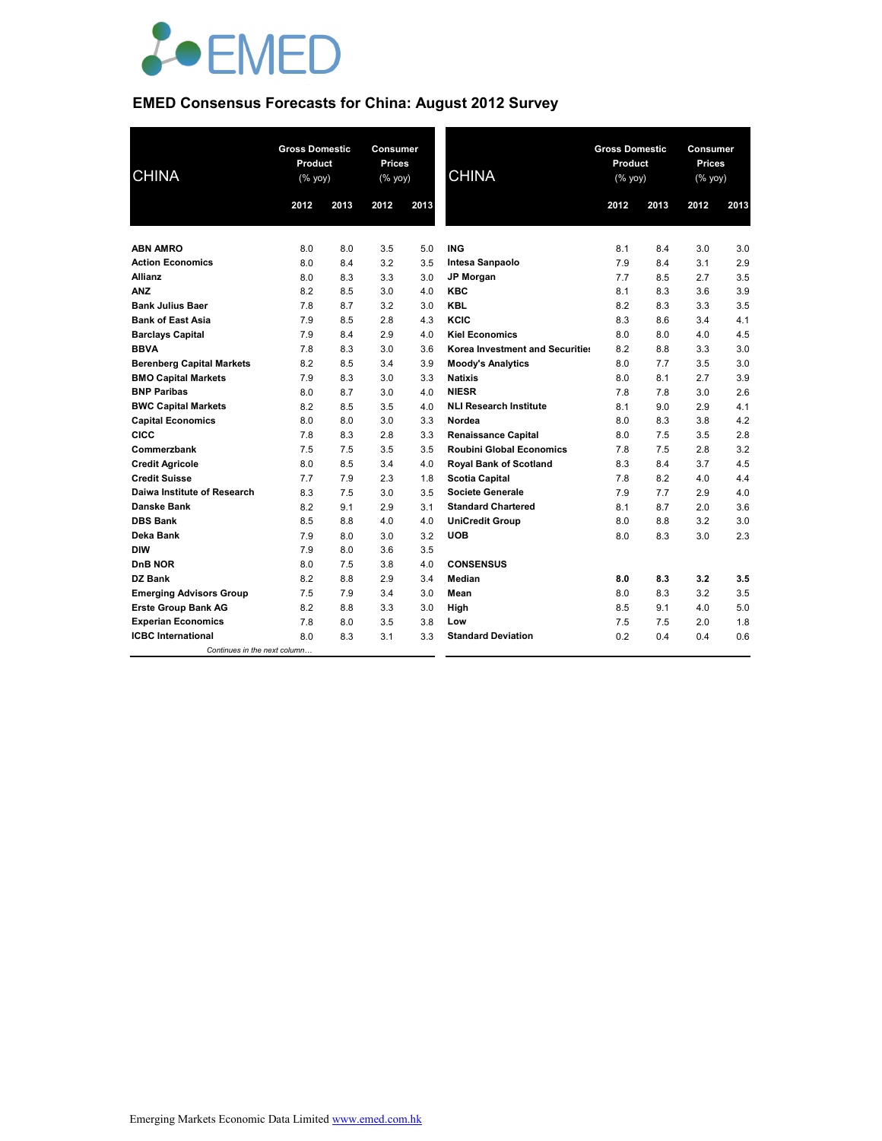

# **EMED Consensus Forecasts for China: August 2012 Survey**

| <b>CHINA</b>                     | <b>Gross Domestic</b><br>Product<br>$(% \mathsf{Y}^{\prime }\mathsf{Y}^{\prime }\mathsf{Y}^{\prime })$ |      | Consumer<br><b>Prices</b><br>(% yoy) |      | <b>CHINA</b>                    | <b>Gross Domestic</b><br>Product<br>(% yoy) |      | Consumer<br><b>Prices</b><br>(% yoy) |      |
|----------------------------------|--------------------------------------------------------------------------------------------------------|------|--------------------------------------|------|---------------------------------|---------------------------------------------|------|--------------------------------------|------|
|                                  | 2012                                                                                                   | 2013 | 2012                                 | 2013 |                                 | 2012                                        | 2013 | 2012                                 | 2013 |
|                                  |                                                                                                        |      |                                      |      |                                 |                                             |      |                                      |      |
| <b>ABN AMRO</b>                  | 8.0                                                                                                    | 8.0  | 3.5                                  | 5.0  | <b>ING</b>                      | 8.1                                         | 8.4  | 3.0                                  | 3.0  |
| <b>Action Economics</b>          | 8.0                                                                                                    | 8.4  | 3.2                                  | 3.5  | Intesa Sanpaolo                 | 7.9                                         | 8.4  | 3.1                                  | 2.9  |
| <b>Allianz</b>                   | 8.0                                                                                                    | 8.3  | 3.3                                  | 3.0  | <b>JP Morgan</b>                | 7.7                                         | 8.5  | 2.7                                  | 3.5  |
| <b>ANZ</b>                       | 8.2                                                                                                    | 8.5  | 3.0                                  | 4.0  | <b>KBC</b>                      | 8.1                                         | 8.3  | 3.6                                  | 3.9  |
| <b>Bank Julius Baer</b>          | 7.8                                                                                                    | 8.7  | 3.2                                  | 3.0  | <b>KBL</b>                      | 8.2                                         | 8.3  | 3.3                                  | 3.5  |
| <b>Bank of East Asia</b>         | 7.9                                                                                                    | 8.5  | 2.8                                  | 4.3  | KCIC                            | 8.3                                         | 8.6  | 3.4                                  | 4.1  |
| <b>Barclays Capital</b>          | 7.9                                                                                                    | 8.4  | 2.9                                  | 4.0  | <b>Kiel Economics</b>           | 8.0                                         | 8.0  | 4.0                                  | 4.5  |
| <b>BBVA</b>                      | 7.8                                                                                                    | 8.3  | 3.0                                  | 3.6  | Korea Investment and Securities | 8.2                                         | 8.8  | 3.3                                  | 3.0  |
| <b>Berenberg Capital Markets</b> | 8.2                                                                                                    | 8.5  | 3.4                                  | 3.9  | <b>Moody's Analytics</b>        | 8.0                                         | 7.7  | 3.5                                  | 3.0  |
| <b>BMO Capital Markets</b>       | 7.9                                                                                                    | 8.3  | 3.0                                  | 3.3  | <b>Natixis</b>                  | 8.0                                         | 8.1  | 2.7                                  | 3.9  |
| <b>BNP Paribas</b>               | 8.0                                                                                                    | 8.7  | 3.0                                  | 4.0  | <b>NIESR</b>                    | 7.8                                         | 7.8  | 3.0                                  | 2.6  |
| <b>BWC Capital Markets</b>       | 8.2                                                                                                    | 8.5  | 3.5                                  | 4.0  | <b>NLI Research Institute</b>   | 8.1                                         | 9.0  | 2.9                                  | 4.1  |
| <b>Capital Economics</b>         | 8.0                                                                                                    | 8.0  | 3.0                                  | 3.3  | Nordea                          | 8.0                                         | 8.3  | 3.8                                  | 4.2  |
| <b>CICC</b>                      | 7.8                                                                                                    | 8.3  | 2.8                                  | 3.3  | <b>Renaissance Capital</b>      | 8.0                                         | 7.5  | 3.5                                  | 2.8  |
| Commerzbank                      | 7.5                                                                                                    | 7.5  | 3.5                                  | 3.5  | <b>Roubini Global Economics</b> | 7.8                                         | 7.5  | 2.8                                  | 3.2  |
| <b>Credit Agricole</b>           | 8.0                                                                                                    | 8.5  | 3.4                                  | 4.0  | <b>Royal Bank of Scotland</b>   | 8.3                                         | 8.4  | 3.7                                  | 4.5  |
| <b>Credit Suisse</b>             | 7.7                                                                                                    | 7.9  | 2.3                                  | 1.8  | <b>Scotia Capital</b>           | 7.8                                         | 8.2  | 4.0                                  | 4.4  |
| Daiwa Institute of Research      | 8.3                                                                                                    | 7.5  | 3.0                                  | 3.5  | Societe Generale                | 7.9                                         | 7.7  | 2.9                                  | 4.0  |
| <b>Danske Bank</b>               | 8.2                                                                                                    | 9.1  | 2.9                                  | 3.1  | <b>Standard Chartered</b>       | 8.1                                         | 8.7  | 2.0                                  | 3.6  |
| <b>DBS Bank</b>                  | 8.5                                                                                                    | 8.8  | 4.0                                  | 4.0  | <b>UniCredit Group</b>          | 8.0                                         | 8.8  | 3.2                                  | 3.0  |
| Deka Bank                        | 7.9                                                                                                    | 8.0  | 3.0                                  | 3.2  | <b>UOB</b>                      | 8.0                                         | 8.3  | 3.0                                  | 2.3  |
| <b>DIW</b>                       | 7.9                                                                                                    | 8.0  | 3.6                                  | 3.5  |                                 |                                             |      |                                      |      |
| <b>DnB NOR</b>                   | 8.0                                                                                                    | 7.5  | 3.8                                  | 4.0  | <b>CONSENSUS</b>                |                                             |      |                                      |      |
| DZ Bank                          | 8.2                                                                                                    | 8.8  | 2.9                                  | 3.4  | Median                          | 8.0                                         | 8.3  | 3.2                                  | 3.5  |
| <b>Emerging Advisors Group</b>   | 7.5                                                                                                    | 7.9  | 3.4                                  | 3.0  | Mean                            | 8.0                                         | 8.3  | 3.2                                  | 3.5  |
| <b>Erste Group Bank AG</b>       | 8.2                                                                                                    | 8.8  | 3.3                                  | 3.0  | High                            | 8.5                                         | 9.1  | 4.0                                  | 5.0  |
| <b>Experian Economics</b>        | 7.8                                                                                                    | 8.0  | 3.5                                  | 3.8  | Low                             | 7.5                                         | 7.5  | 2.0                                  | 1.8  |
| <b>ICBC</b> International        | 8.0                                                                                                    | 8.3  | 3.1                                  | 3.3  | <b>Standard Deviation</b>       | 0.2                                         | 0.4  | 0.4                                  | 0.6  |
| Continues in the next column     |                                                                                                        |      |                                      |      |                                 |                                             |      |                                      |      |